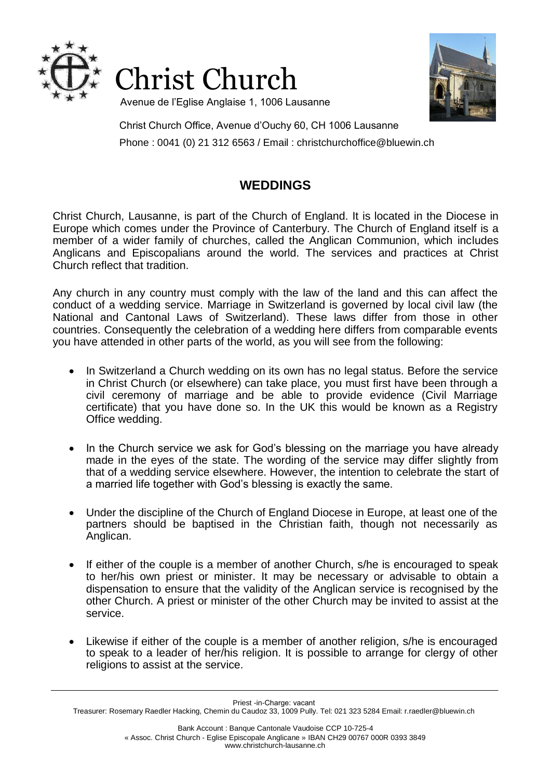



Avenue de l'Eglise Anglaise 1, 1006 Lausanne

Christ Church Office, Avenue d'Ouchy 60, CH 1006 Lausanne Phone : 0041 (0) 21 312 6563 / Email : christchurchoffice@bluewin.ch

# **WEDDINGS**

Christ Church, Lausanne, is part of the Church of England. It is located in the Diocese in Europe which comes under the Province of Canterbury. The Church of England itself is a member of a wider family of churches, called the Anglican Communion, which includes Anglicans and Episcopalians around the world. The services and practices at Christ Church reflect that tradition.

Any church in any country must comply with the law of the land and this can affect the conduct of a wedding service. Marriage in Switzerland is governed by local civil law (the National and Cantonal Laws of Switzerland). These laws differ from those in other countries. Consequently the celebration of a wedding here differs from comparable events you have attended in other parts of the world, as you will see from the following:

- In Switzerland a Church wedding on its own has no legal status. Before the service in Christ Church (or elsewhere) can take place, you must first have been through a civil ceremony of marriage and be able to provide evidence (Civil Marriage certificate) that you have done so. In the UK this would be known as a Registry Office wedding.
- In the Church service we ask for God's blessing on the marriage you have already made in the eyes of the state. The wording of the service may differ slightly from that of a wedding service elsewhere. However, the intention to celebrate the start of a married life together with God's blessing is exactly the same.
- Under the discipline of the Church of England Diocese in Europe, at least one of the partners should be baptised in the Christian faith, though not necessarily as Anglican.
- If either of the couple is a member of another Church, s/he is encouraged to speak to her/his own priest or minister. It may be necessary or advisable to obtain a dispensation to ensure that the validity of the Anglican service is recognised by the other Church. A priest or minister of the other Church may be invited to assist at the service.
- Likewise if either of the couple is a member of another religion, s/he is encouraged to speak to a leader of her/his religion. It is possible to arrange for clergy of other religions to assist at the service.

Priest -in-Charge: vacant

Treasurer: Rosemary Raedler Hacking, Chemin du Caudoz 33, 1009 Pully. Tel: 021 323 5284 Email: r.raedler@bluewin.ch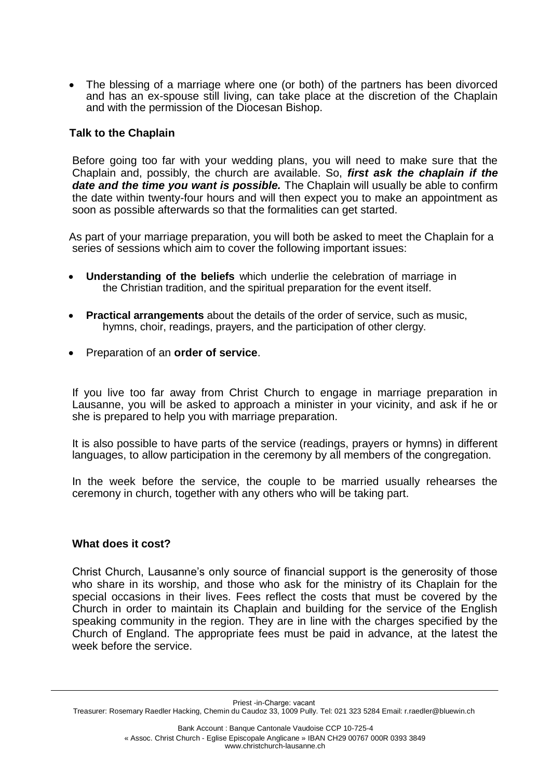The blessing of a marriage where one (or both) of the partners has been divorced and has an ex-spouse still living, can take place at the discretion of the Chaplain and with the permission of the Diocesan Bishop.

### **Talk to the Chaplain**

Before going too far with your wedding plans, you will need to make sure that the Chaplain and, possibly, the church are available. So, *first ask the chaplain if the* date and the time you want is possible. The Chaplain will usually be able to confirm the date within twenty-four hours and will then expect you to make an appointment as soon as possible afterwards so that the formalities can get started.

As part of your marriage preparation, you will both be asked to meet the Chaplain for a series of sessions which aim to cover the following important issues:

- **Understanding of the beliefs** which underlie the celebration of marriage in the Christian tradition, and the spiritual preparation for the event itself.
- **Practical arrangements** about the details of the order of service, such as music, hymns, choir, readings, prayers, and the participation of other clergy.
- Preparation of an **order of service**.

If you live too far away from Christ Church to engage in marriage preparation in Lausanne, you will be asked to approach a minister in your vicinity, and ask if he or she is prepared to help you with marriage preparation.

It is also possible to have parts of the service (readings, prayers or hymns) in different languages, to allow participation in the ceremony by all members of the congregation.

In the week before the service, the couple to be married usually rehearses the ceremony in church, together with any others who will be taking part.

#### **What does it cost?**

Christ Church, Lausanne's only source of financial support is the generosity of those who share in its worship, and those who ask for the ministry of its Chaplain for the special occasions in their lives. Fees reflect the costs that must be covered by the Church in order to maintain its Chaplain and building for the service of the English speaking community in the region. They are in line with the charges specified by the Church of England. The appropriate fees must be paid in advance, at the latest the week before the service.

Priest -in-Charge: vacant

Treasurer: Rosemary Raedler Hacking, Chemin du Caudoz 33, 1009 Pully. Tel: 021 323 5284 Email: r.raedler@bluewin.ch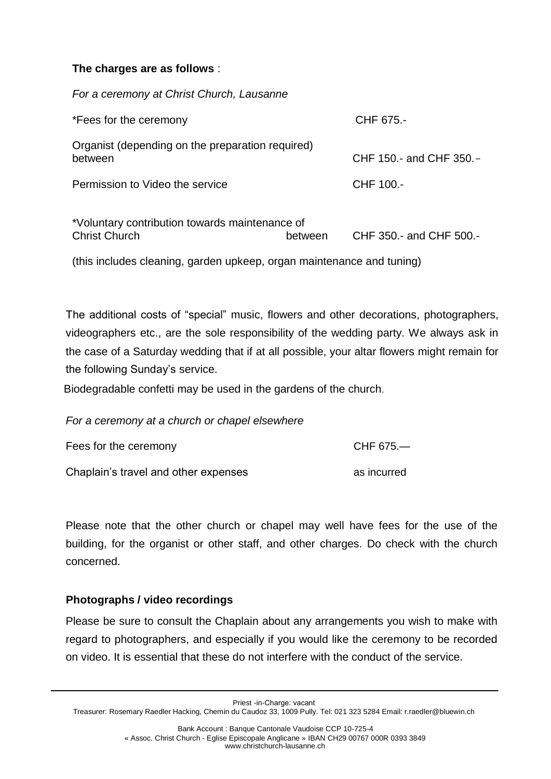# **The charges are as follows** :

*For a ceremony at Christ Church, Lausanne*

| *Fees for the ceremony                                                 |         | CHF 675.-               |
|------------------------------------------------------------------------|---------|-------------------------|
| Organist (depending on the preparation required)<br>between            |         | CHF 150.- and CHF 350.- |
| Permission to Video the service                                        |         | CHF 100.-               |
| *Voluntary contribution towards maintenance of<br><b>Christ Church</b> | between | CHF 350.- and CHF 500.- |

(this includes cleaning, garden upkeep, organ maintenance and tuning)

The additional costs of "special" music, flowers and other decorations, photographers, videographers etc., are the sole responsibility of the wedding party. We always ask in the case of a Saturday wedding that if at all possible, your altar flowers might remain for the following Sunday's service.

Biodegradable confetti may be used in the gardens of the church.

*For a ceremony at a church or chapel elsewhere*

| Fees for the ceremony                | CHF 675.—   |
|--------------------------------------|-------------|
| Chaplain's travel and other expenses | as incurred |

Please note that the other church or chapel may well have fees for the use of the building, for the organist or other staff, and other charges. Do check with the church concerned.

## **Photographs / video recordings**

Please be sure to consult the Chaplain about any arrangements you wish to make with regard to photographers, and especially if you would like the ceremony to be recorded on video. It is essential that these do not interfere with the conduct of the service.

Priest -in-Charge: vacant

Treasurer: Rosemary Raedler Hacking, Chemin du Caudoz 33, 1009 Pully. Tel: 021 323 5284 Email: r.raedler@bluewin.ch

Bank Account : Banque Cantonale Vaudoise CCP 10-725-4 « Assoc. Christ Church - Eglise Episcopale Anglicane » IBAN CH29 00767 000R 0393 3849 www.christchurch-lausanne.ch